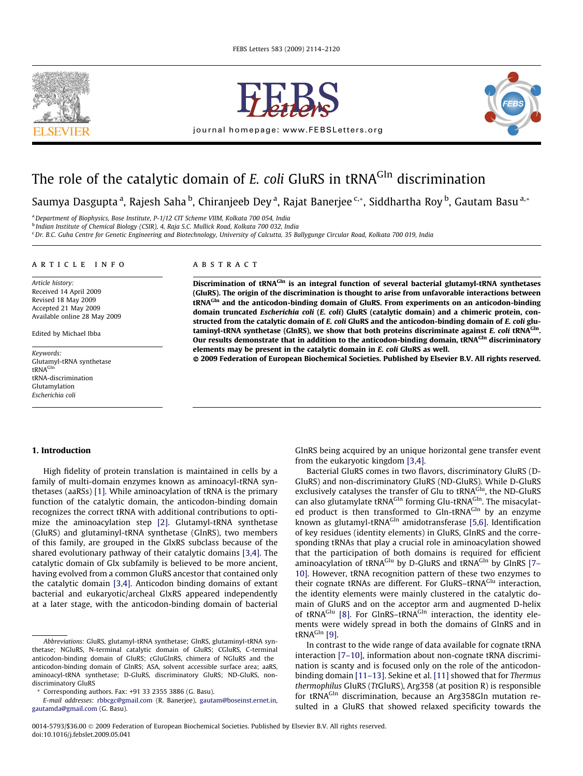



journal homepage: [www.FEBSLetters.org](http://www.FEBSLetters.org)



# The role of the catalytic domain of  $E$ . coli GluRS in tRNA<sup>GIn</sup> discrimination

Saumya Dasgupta <sup>a</sup>, Rajesh Saha <sup>b</sup>, Chiranjeeb Dey <sup>a</sup>, Rajat Banerjee <sup>c,</sup>\*, Siddhartha Roy <sup>b</sup>, Gautam Basu <sup>a,</sup>\*

<sup>a</sup> Department of Biophysics, Bose Institute, P-1/12 CIT Scheme VIIM, Kolkata 700 054, India

<sup>b</sup> Indian Institute of Chemical Biology (CSIR), 4, Raja S.C. Mullick Road, Kolkata 700 032, India

<sup>c</sup> Dr. B.C. Guha Centre for Genetic Engineering and Biotechnology, University of Calcutta, 35 Ballygunge Circular Road, Kolkata 700 019, India

# article info

Article history: Received 14 April 2009 Revised 18 May 2009 Accepted 21 May 2009 Available online 28 May 2009

Edited by Michael Ibba

Keywords: Glutamyl-tRNA synthetase tRNAGln tRNA-discrimination Glutamylation Escherichia coli

# **ABSTRACT**

Discrimination of tRNA<sup>GIn</sup> is an integral function of several bacterial glutamyl-tRNA synthetases (GluRS). The origin of the discrimination is thought to arise from unfavorable interactions between tRNA<sup>GIn</sup> and the anticodon-binding domain of GluRS. From experiments on an anticodon-binding domain truncated Escherichia coli (E. coli) GluRS (catalytic domain) and a chimeric protein, constructed from the catalytic domain of E. coli GluRS and the anticodon-binding domain of E. coli glutaminyl-tRNA synthetase (GlnRS), we show that both proteins discriminate against E. coli tRNA<sup>GIn</sup>. Our results demonstrate that in addition to the anticodon-binding domain, tRNA $^{\text{GIn}}$  discriminatory elements may be present in the catalytic domain in E. coli GluRS as well.

- 2009 Federation of European Biochemical Societies. Published by Elsevier B.V. All rights reserved.

# 1. Introduction

High fidelity of protein translation is maintained in cells by a family of multi-domain enzymes known as aminoacyl-tRNA synthetases (aaRSs) [\[1\]](#page-5-0). While aminoacylation of tRNA is the primary function of the catalytic domain, the anticodon-binding domain recognizes the correct tRNA with additional contributions to optimize the aminoacylation step [\[2\].](#page-5-0) Glutamyl-tRNA synthetase (GluRS) and glutaminyl-tRNA synthetase (GlnRS), two members of this family, are grouped in the GlxRS subclass because of the shared evolutionary pathway of their catalytic domains [\[3,4\]](#page-5-0). The catalytic domain of Glx subfamily is believed to be more ancient, having evolved from a common GluRS ancestor that contained only the catalytic domain [\[3,4\]](#page-5-0). Anticodon binding domains of extant bacterial and eukaryotic/archeal GlxRS appeared independently at a later stage, with the anticodon-binding domain of bacterial GlnRS being acquired by an unique horizontal gene transfer event from the eukaryotic kingdom [\[3,4\]](#page-5-0).

Bacterial GluRS comes in two flavors, discriminatory GluRS (D-GluRS) and non-discriminatory GluRS (ND-GluRS). While D-GluRS exclusively catalyses the transfer of Glu to tRNA<sup>Glu</sup>, the ND-GluRS can also glutamylate tRNA<sup>Gln</sup> forming Glu-tRNA<sup>Gln</sup>. The misacylated product is then transformed to Gln-tRNA<sup>Gln</sup> by an enzyme known as glutamyl-tRNAGln amidotransferase [\[5,6\]](#page-5-0). Identification of key residues (identity elements) in GluRS, GlnRS and the corresponding tRNAs that play a crucial role in aminoacylation showed that the participation of both domains is required for efficient aminoacylation of tRNA<sup>Glu</sup> by D-GluRS and tRNA<sup>Gln</sup> by GlnRS [7-[10\]](#page-5-0). However, tRNA recognition pattern of these two enzymes to their cognate tRNAs are different. For GluRS-tRNA<sup>Glu</sup> interaction, the identity elements were mainly clustered in the catalytic domain of GluRS and on the acceptor arm and augmented D-helix of tRNA<sup>Glu</sup> [\[8\]](#page-6-0). For GlnRS-tRNA<sup>Gln</sup> interaction, the identity elements were widely spread in both the domains of GlnRS and in tRN $A^{Gln}$  [\[9\]](#page-6-0).

In contrast to the wide range of data available for cognate tRNA interaction [\[7–10\]](#page-5-0), information about non-cognate tRNA discrimination is scanty and is focused only on the role of the anticodon-binding domain [\[11–13\].](#page-6-0) Sekine et al. [\[11\]](#page-6-0) showed that for Thermus thermophilus GluRS (TtGluRS), Arg358 (at position R) is responsible for tRNAGIn discrimination, because an Arg358Gln mutation resulted in a GluRS that showed relaxed specificity towards the

Abbreviations: GluRS, glutamyl-tRNA synthetase; GlnRS, glutaminyl-tRNA synthetase; NGluRS, N-terminal catalytic domain of GluRS; CGluRS, C-terminal anticodon-binding domain of GluRS; cGluGlnRS, chimera of NGluRS and the anticodon-binding domain of GlnRS; ASA, solvent accessible surface area; aaRS, aminoacyl-tRNA synthetase; D-GluRS, discriminatory GluRS; ND-GluRS, nondiscriminatory GluRS

<sup>\*</sup> Corresponding authors. Fax: +91 33 2355 3886 (G. Basu).

E-mail addresses: [rbbcgc@gmail.com](mailto:rbbcgc@gmail.com) (R. Banerjee), [gautam@boseinst.ernet.in](mailto:gautam@boseinst.ernet.in), [gautamda@gmail.com](mailto:gautamda@gmail.com) (G. Basu).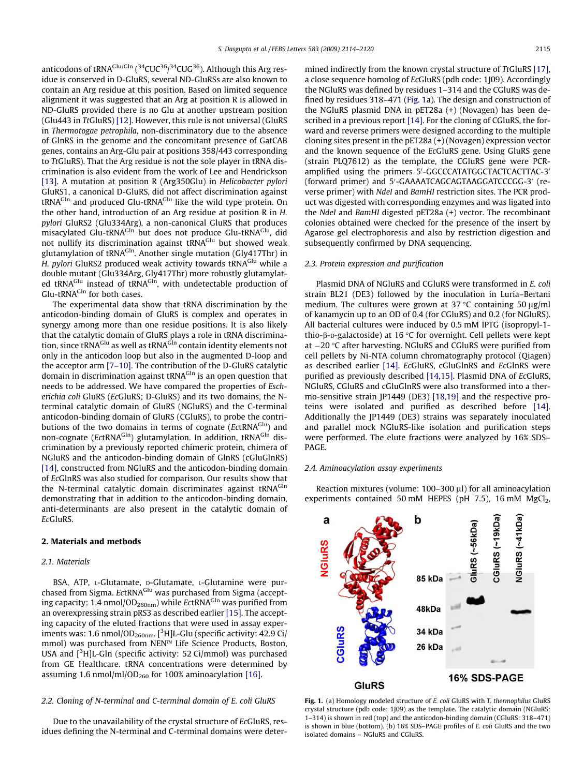<span id="page-1-0"></span>anticodons of tRNA<sup>Glu/Gln</sup> (<sup>34</sup>CUC<sup>36</sup>/<sup>34</sup>CUG<sup>36</sup>). Although this Arg residue is conserved in D-GluRS, several ND-GluRSs are also known to contain an Arg residue at this position. Based on limited sequence alignment it was suggested that an Arg at position R is allowed in ND-GluRS provided there is no Glu at another upstream position (Glu443 in TtGluRS) [\[12\]](#page-6-0). However, this rule is not universal (GluRS in Thermotogae petrophila, non-discriminatory due to the absence of GlnRS in the genome and the concomitant presence of GatCAB genes, contains an Arg-Glu pair at positions 358/443 corresponding to TtGluRS). That the Arg residue is not the sole player in tRNA discrimination is also evident from the work of Lee and Hendrickson [\[13\]](#page-6-0). A mutation at position R (Arg350Glu) in Helicobacter pylori GluRS1, a canonical D-GluRS, did not affect discrimination against tRNA<sup>Gln</sup> and produced Glu-tRNA<sup>Glu</sup> like the wild type protein. On the other hand, introduction of an Arg residue at position R in H. pylori GluRS2 (Glu334Arg), a non-canonical GluRS that produces misacylated Glu-tRNA<sup>Gln</sup> but does not produce Glu-tRNA<sup>Glu</sup>, did not nullify its discrimination against tRNA<sup>Glu</sup> but showed weak glutamylation of tRNAGln. Another single mutation (Gly417Thr) in H. pylori GluRS2 produced weak activity towards tRNA<sup>Glu</sup> while a double mutant (Glu334Arg, Gly417Thr) more robustly glutamylated tRNA<sup>Glu</sup> instead of tRNA<sup>Gln</sup>, with undetectable production of Glu-tRNA<sup>Gln</sup> for both cases.

The experimental data show that tRNA discrimination by the anticodon-binding domain of GluRS is complex and operates in synergy among more than one residue positions. It is also likely that the catalytic domain of GluRS plays a role in tRNA discrimination, since tRNA<sup>Glu</sup> as well as tRNA<sup>Gln</sup> contain identity elements not only in the anticodon loop but also in the augmented D-loop and the acceptor arm [\[7–10\].](#page-5-0) The contribution of the D-GluRS catalytic domain in discrimination against tRNA<sup>GIn</sup> is an open question that needs to be addressed. We have compared the properties of Escherichia coli GluRS (EcGluRS; D-GluRS) and its two domains, the Nterminal catalytic domain of GluRS (NGluRS) and the C-terminal anticodon-binding domain of GluRS (CGluRS), to probe the contributions of the two domains in terms of cognate ( $EctRNA<sup>Glu</sup>$ ) and non-cognate (EctRNA<sup>Gln</sup>) glutamylation. In addition, tRNA<sup>Gln</sup> discrimination by a previously reported chimeric protein, chimera of NGluRS and the anticodon-binding domain of GlnRS (cGluGlnRS) [\[14\],](#page-6-0) constructed from NGluRS and the anticodon-binding domain of EcGlnRS was also studied for comparison. Our results show that the N-terminal catalytic domain discriminates against tRNA<sup>GIn</sup> demonstrating that in addition to the anticodon-binding domain, anti-determinants are also present in the catalytic domain of EcGluRS.

#### 2. Materials and methods

#### 2.1. Materials

BSA, ATP, L-Glutamate, D-Glutamate, L-Glutamine were purchased from Sigma. EctRNA<sup>Glu</sup> was purchased from Sigma (accepting capacity: 1.4 nmol/OD<sub>260nm</sub>) while EctRNA<sup>GIn</sup> was purified from an overexpressing strain pRS3 as described earlier [\[15\].](#page-6-0) The accepting capacity of the eluted fractions that were used in assay experiments was: 1.6 nmol/OD<sub>260nm</sub>. [<sup>3</sup>H]L-Glu (specific activity: 42.9 Ci/ mmol) was purchased from NEN™ Life Science Products, Boston, USA and  $[3H]$ L-Gln (specific activity: 52 Ci/mmol) was purchased from GE Healthcare. tRNA concentrations were determined by assuming 1.6 nmol/ml/OD<sub>260</sub> for 100% aminoacylation [\[16\]](#page-6-0).

## 2.2. Cloning of N-terminal and C-terminal domain of E. coli GluRS

Due to the unavailability of the crystal structure of EcGluRS, residues defining the N-terminal and C-terminal domains were determined indirectly from the known crystal structure of TtGluRS [17]. a close sequence homolog of EcGluRS (pdb code: 1J09). Accordingly the NGluRS was defined by residues 1–314 and the CGluRS was defined by residues 318–471 (Fig. 1a). The design and construction of the NGluRS plasmid DNA in pET28a (+) (Novagen) has been described in a previous report [\[14\].](#page-6-0) For the cloning of CGluRS, the forward and reverse primers were designed according to the multiple cloning sites present in the pET28a (+) (Novagen) expression vector and the known sequence of the EcGluRS gene. Using GluRS gene (strain PLQ7612) as the template, the CGluRS gene were PCRamplified using the primers 5'-GGCCCATATGGCTACTCACTTAC-3<sup>1</sup> (forward primer) and 5'-GAAAATCAGCAGTAAGGATCCCGG-3' (reverse primer) with NdeI and BamHI restriction sites. The PCR product was digested with corresponding enzymes and was ligated into the NdeI and BamHI digested pET28a (+) vector. The recombinant colonies obtained were checked for the presence of the insert by Agarose gel electrophoresis and also by restriction digestion and subsequently confirmed by DNA sequencing.

# 2.3. Protein expression and purification

Plasmid DNA of NGluRS and CGluRS were transformed in E. coli strain BL21 (DE3) followed by the inoculation in Luria–Bertani medium. The cultures were grown at 37  $\degree$ C containing 50  $\mu$ g/ml of kanamycin up to an OD of 0.4 (for CGluRS) and 0.2 (for NGluRS). All bacterial cultures were induced by 0.5 mM IPTG (isopropyl-1 thio- $\beta$ -D-galactoside) at 16 °C for overnight. Cell pellets were kept at  $-20$  °C after harvesting. NGluRS and CGluRS were purified from cell pellets by Ni-NTA column chromatography protocol (Qiagen) as described earlier [\[14\].](#page-6-0) EcGluRS, cGluGlnRS and EcGlnRS were purified as previously described [\[14,15\].](#page-6-0) Plasmid DNA of EcGluRS, NGluRS, CGluRS and cGluGlnRS were also transformed into a thermo-sensitive strain JP1449 (DE3) [\[18,19\]](#page-6-0) and the respective proteins were isolated and purified as described before [\[14\].](#page-6-0) Additionally the JP1449 (DE3) strains was separately inoculated and parallel mock NGluRS-like isolation and purification steps were performed. The elute fractions were analyzed by 16% SDS– PAGE.

# 2.4. Aminoacylation assay experiments

Reaction mixtures (volume:  $100-300 \mu l$ ) for all aminoacylation experiments contained 50 mM HEPES (pH  $7.5$ ), 16 mM MgCl<sub>2</sub>,



Fig. 1. (a) Homology modeled structure of E. coli GluRS with T. thermophilus GluRS crystal structure (pdb code: 1J09) as the template. The catalytic domain (NGluRS: 1–314) is shown in red (top) and the anticodon-binding domain (CGluRS: 318–471) is shown in blue (bottom). (b) 16% SDS–PAGE profiles of E. coli GluRS and the two isolated domains – NGluRS and CGluRS.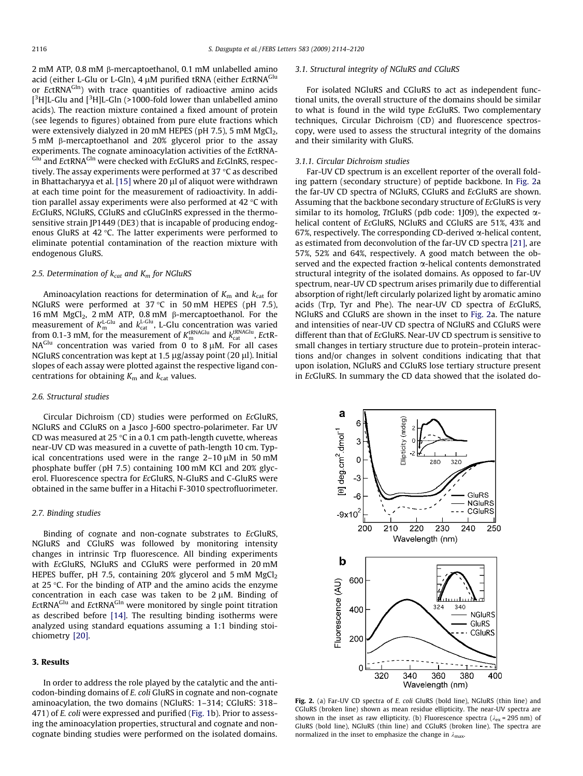<span id="page-2-0"></span>2 mM ATP, 0.8 mM b-mercaptoethanol, 0.1 mM unlabelled amino acid (either L-Glu or L-Gln), 4 uM purified tRNA (either EctRNA<sup>Glu</sup> or EctRNA<sup>GIn</sup>) with trace quantities of radioactive amino acids  $[{}^{3}$ H]L-Glu and  $[{}^{3}$ H]L-Gln (>1000-fold lower than unlabelled amino acids). The reaction mixture contained a fixed amount of protein (see legends to figures) obtained from pure elute fractions which were extensively dialyzed in 20 mM HEPES (pH 7.5), 5 mM  $MgCl<sub>2</sub>$ ,  $5 \text{ mM}$   $\beta$ -mercaptoethanol and 20% glycerol prior to the assay experiments. The cognate aminoacylation activities of the EctRNA-Glu and EctRNA<sup>Gln</sup> were checked with EcGluRS and EcGlnRS, respectively. The assay experiments were performed at 37  $\degree$ C as described in Bhattacharyya et al.  $[15]$  where 20  $\mu$ l of aliquot were withdrawn at each time point for the measurement of radioactivity. In addition parallel assay experiments were also performed at 42  $\degree$ C with EcGluRS, NGluRS, CGluRS and cGluGlnRS expressed in the thermosensitive strain JP1449 (DE3) that is incapable of producing endogenous GluRS at  $42 \text{ }^{\circ}$ C. The latter experiments were performed to eliminate potential contamination of the reaction mixture with endogenous GluRS.

# 2.5. Determination of  $k_{cat}$  and  $K_m$  for NGluRS

Aminoacylation reactions for determination of  $K<sub>m</sub>$  and  $k<sub>cat</sub>$  for NGluRS were performed at  $37^{\circ}$ C in 50 mM HEPES (pH 7.5), 16 mM  $MgCl<sub>2</sub>$ , 2 mM ATP, 0.8 mM  $\beta$ -mercaptoethanol. For the measurement of  $K_{\text{m}}^{\text{L-Glu}}$  and  $k_{\text{cat}}^{\text{L-Glu}}$ , L-Glu concentration was varied from 0.1-3 mM, for the measurement of  $K_{\rm m}^{\rm tRNAGlu}$  and  $k_{\rm cat}^{\rm tRNAGlu}$ , EctR-NAGlu concentration was varied from 0 to 8  $\mu$ M. For all cases NGluRS concentration was kept at 1.5  $\mu$ g/assay point (20  $\mu$ l). Initial slopes of each assay were plotted against the respective ligand concentrations for obtaining  $K<sub>m</sub>$  and  $k<sub>cat</sub>$  values.

#### 2.6. Structural studies

Circular Dichroism (CD) studies were performed on EcGluRS, NGluRS and CGluRS on a Jasco J-600 spectro-polarimeter. Far UV CD was measured at 25  $\degree$ C in a 0.1 cm path-length cuvette, whereas near-UV CD was measured in a cuvette of path-length 10 cm. Typical concentrations used were in the range  $2-10 \mu M$  in 50 mM phosphate buffer (pH 7.5) containing 100 mM KCl and 20% glycerol. Fluorescence spectra for EcGluRS, N-GluRS and C-GluRS were obtained in the same buffer in a Hitachi F-3010 spectrofluorimeter.

## 2.7. Binding studies

Binding of cognate and non-cognate substrates to EcGluRS, NGluRS and CGluRS was followed by monitoring intensity changes in intrinsic Trp fluorescence. All binding experiments with EcGluRS, NGluRS and CGluRS were performed in 20 mM HEPES buffer, pH 7.5, containing 20% glycerol and 5 mM  $MgCl<sub>2</sub>$ at 25  $\degree$ C. For the binding of ATP and the amino acids the enzyme concentration in each case was taken to be  $2 \mu$ M. Binding of EctRNAGlu and EctRNAGln were monitored by single point titration as described before [\[14\].](#page-6-0) The resulting binding isotherms were analyzed using standard equations assuming a 1:1 binding stoichiometry [\[20\]](#page-6-0).

# 3. Results

In order to address the role played by the catalytic and the anticodon-binding domains of E. coli GluRS in cognate and non-cognate aminoacylation, the two domains (NGluRS: 1–314; CGluRS: 318– 471) of E. coli were expressed and purified ([Fig. 1b](#page-1-0)). Prior to assessing the aminoacylation properties, structural and cognate and noncognate binding studies were performed on the isolated domains.

#### 3.1. Structural integrity of NGluRS and CGluRS

For isolated NGluRS and CGluRS to act as independent functional units, the overall structure of the domains should be similar to what is found in the wild type EcGluRS. Two complementary techniques, Circular Dichroism (CD) and fluorescence spectroscopy, were used to assess the structural integrity of the domains and their similarity with GluRS.

## 3.1.1. Circular Dichroism studies

Far-UV CD spectrum is an excellent reporter of the overall folding pattern (secondary structure) of peptide backbone. In Fig. 2a the far-UV CD spectra of NGluRS, CGluRS and EcGluRS are shown. Assuming that the backbone secondary structure of EcGluRS is very similar to its homolog, TtGluRS (pdb code: 1]09), the expected  $\alpha$ helical content of EcGluRS, NGluRS and CGluRS are 51%, 43% and 67%, respectively. The corresponding CD-derived  $\alpha$ -helical content, as estimated from deconvolution of the far-UV CD spectra [\[21\],](#page-6-0) are 57%, 52% and 64%, respectively. A good match between the observed and the expected fraction  $\alpha$ -helical contents demonstrated structural integrity of the isolated domains. As opposed to far-UV spectrum, near-UV CD spectrum arises primarily due to differential absorption of right/left circularly polarized light by aromatic amino acids (Trp, Tyr and Phe). The near-UV CD spectra of EcGluRS, NGluRS and CGluRS are shown in the inset to Fig. 2a. The nature and intensities of near-UV CD spectra of NGluRS and CGluRS were different than that of EcGluRS. Near-UV CD spectrum is sensitive to small changes in tertiary structure due to protein–protein interactions and/or changes in solvent conditions indicating that that upon isolation, NGluRS and CGluRS lose tertiary structure present in EcGluRS. In summary the CD data showed that the isolated do-



Fig. 2. (a) Far-UV CD spectra of E. coli GluRS (bold line), NGluRS (thin line) and CGluRS (broken line) shown as mean residue ellipticity. The near-UV spectra are shown in the inset as raw ellipticity. (b) Fluorescence spectra ( $\lambda_{ex}$  = 295 nm) of GluRS (bold line), NGluRS (thin line) and CGluRS (broken line). The spectra are normalized in the inset to emphasize the change in  $\lambda_{\text{max}}$ .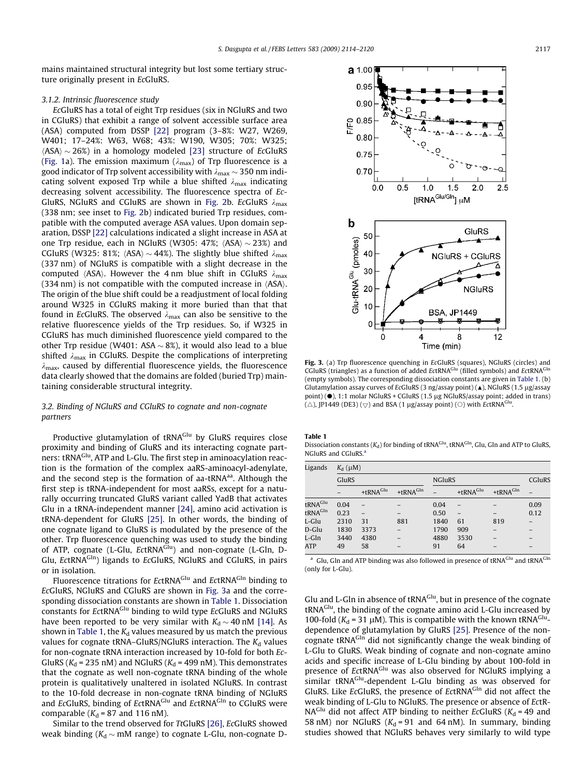<span id="page-3-0"></span>mains maintained structural integrity but lost some tertiary structure originally present in EcGluRS.

## 3.1.2. Intrinsic fluorescence study

EcGluRS has a total of eight Trp residues (six in NGluRS and two in CGluRS) that exhibit a range of solvent accessible surface area (ASA) computed from DSSP [\[22\]](#page-6-0) program (3–8%: W27, W269, W401; 17–24%: W63, W68; 43%: W190, W305; 70%: W325;  $\langle$ ASA $\rangle$   $\sim$  26%) in a homology modeled [\[23\]](#page-6-0) structure of EcGluRS ([Fig. 1a](#page-1-0)). The emission maximum ( $\lambda_{\text{max}}$ ) of Trp fluorescence is a good indicator of Trp solvent accessibility with  $\lambda_{\text{max}}$   $\sim$  350 nm indicating solvent exposed Trp while a blue shifted  $\lambda_{\text{max}}$  indicating decreasing solvent accessibility. The fluorescence spectra of Ec-GluRS, NGluRS and CGluRS are shown in [Fig. 2b](#page-2-0). EcGluRS  $\lambda_{\text{max}}$ (338 nm; see inset to [Fig. 2](#page-2-0)b) indicated buried Trp residues, compatible with the computed average ASA values. Upon domain separation, DSSP [\[22\]](#page-6-0) calculations indicated a slight increase in ASA at one Trp residue, each in NGluRS (W305: 47%;  $\langle$ ASA $\rangle$   $\sim$  23%) and CGluRS (W325: 81%;  $\langle$ ASA $\rangle$  ~ 44%). The slightly blue shifted  $\lambda_{\text{max}}$ (337 nm) of NGluRS is compatible with a slight decrease in the computed  $\langle$ ASA $\rangle$ . However the 4 nm blue shift in CGluRS  $\lambda_{\text{max}}$  $(334 \text{ nm})$  is not compatible with the computed increase in  $\langle$ ASA $\rangle$ . The origin of the blue shift could be a readjustment of local folding around W325 in CGluRS making it more buried than that that found in EcGluRS. The observed  $\lambda_{\text{max}}$  can also be sensitive to the relative fluorescence yields of the Trp residues. So, if W325 in CGluRS has much diminished fluorescence yield compared to the other Trp residue (W401: ASA  $\sim$  8%), it would also lead to a blue shifted  $\lambda_{\text{max}}$  in CGluRS. Despite the complications of interpreting  $\lambda_{\text{max}}$ , caused by differential fluorescence yields, the fluorescence data clearly showed that the domains are folded (buried Trp) maintaining considerable structural integrity.

# 3.2. Binding of NGluRS and CGluRS to cognate and non-cognate partners

Productive glutamylation of tRNA<sup>Glu</sup> by GluRS requires close proximity and binding of GluRS and its interacting cognate partners: tRNA<sup>Glu</sup>, ATP and L-Glu. The first step in aminoacylation reaction is the formation of the complex aaRS-aminoacyl-adenylate, and the second step is the formation of aa-tRNA $a$ <sup>a</sup>. Although the first step is tRNA-independent for most aaRSs, except for a naturally occurring truncated GluRS variant called YadB that activates Glu in a tRNA-independent manner [\[24\]](#page-6-0), amino acid activation is tRNA-dependent for GluRS [\[25\]](#page-6-0). In other words, the binding of one cognate ligand to GluRS is modulated by the presence of the other. Trp fluorescence quenching was used to study the binding of ATP, cognate (L-Glu, EctRNA<sup>Glu</sup>) and non-cognate (L-Gln, D-Glu, EctRNA<sup>Gln</sup>) ligands to EcGluRS, NGluRS and CGluRS, in pairs or in isolation.

Fluorescence titrations for EctRNA<sup>Glu</sup> and EctRNA<sup>Gln</sup> binding to EcGluRS, NGluRS and CGluRS are shown in Fig. 3a and the corresponding dissociation constants are shown in Table 1. Dissociation constants for EctRNA<sup>Glu</sup> binding to wild type EcGluRS and NGluRS have been reported to be very similar with  $K_d \sim 40$  nM [\[14\].](#page-6-0) As shown in Table 1, the  $K_d$  values measured by us match the previous values for cognate tRNA–GluRS/NGluRS interaction. The  $K_d$  values for non-cognate tRNA interaction increased by 10-fold for both Ec-GluRS ( $K_d$  = 235 nM) and NGluRS ( $K_d$  = 499 nM). This demonstrates that the cognate as well non-cognate tRNA binding of the whole protein is qualitatively unaltered in isolated NGluRS. In contrast to the 10-fold decrease in non-cognate tRNA binding of NGluRS and EcGluRS, binding of EctRNA<sup>Glu</sup> and EctRNA<sup>Gln</sup> to CGluRS were comparable ( $K_d$  = 87 and 116 nM).

Similar to the trend observed for TtGluRS [\[26\]](#page-6-0), EcGluRS showed weak binding ( $K_d \sim \text{mM}$  range) to cognate L-Glu, non-cognate D-



Fig. 3. (a) Trp fluorescence quenching in EcGluRS (squares), NGluRS (circles) and CGluRS (triangles) as a function of added EctRNA<sup>Glu</sup> (filled symbols) and EctRNA<sup>Gln</sup> (empty symbols). The corresponding dissociation constants are given in Table 1. (b) Glutamylation assay curves of EcGluRS (3 ng/assay point) ( $\triangle$ ), NGluRS (1.5 µg/assay point) ( $\bullet$ ), 1:1 molar NGluRS + CGluRS (1.5 µg NGluRS/assay point; added in trans) ( $\triangle$ ), JP1449 (DE3) ( $\bigtriangledown$ ) and BSA (1 µg/assay point) ( $\bigcirc$ ) with EctRNA<sup>G</sup> .

Table 1

Dissociation constants ( $K_d$ ) for binding of tRNA<sup>Glu</sup>, tRNA<sup>Gln</sup>, Glu, Gln and ATP to GluRS, NGluRS and CGluRS.<sup>a</sup>

| Ligands             | $K_{\rm d}$ ( $\mu$ M) |                          |                      |               |                          |                      |        |
|---------------------|------------------------|--------------------------|----------------------|---------------|--------------------------|----------------------|--------|
|                     | GluRS                  |                          |                      | <b>NGluRS</b> |                          |                      | CGluRS |
|                     |                        | +tRNA <sup>Glu</sup>     | +tRNA <sup>GIn</sup> |               | +tRNA <sup>Glu</sup>     | +tRNA <sup>GIn</sup> |        |
| tRNA <sup>Glu</sup> | 0.04                   |                          |                      | 0.04          |                          |                      | 0.09   |
| tRNA <sup>GIn</sup> | 0.23                   | $\overline{\phantom{0}}$ |                      | 0.50          | $\overline{\phantom{0}}$ |                      | 0.12   |
| L-Glu               | 2310                   | 31                       | 881                  | 1840          | 61                       | 819                  |        |
| D-Glu               | 1830                   | 3373                     |                      | 1790          | 909                      |                      |        |
| L-Gln               | 3440                   | 4380                     |                      | 4880          | 3530                     |                      |        |
| <b>ATP</b>          | 49                     | 58                       |                      | 91            | 64                       |                      |        |

<sup>a</sup> Glu, Gln and ATP binding was also followed in presence of tRNA<sup>Glu</sup> and tRNA<sup>Gln</sup> (only for L-Glu).

Glu and L-Gln in absence of tRNA<sup>Glu</sup>, but in presence of the cognate tRNA<sup>Glu</sup>, the binding of the cognate amino acid L-Glu increased by 100-fold ( $K_d$  = 31 µM). This is compatible with the known tRNA<sup>Glu</sup>dependence of glutamylation by GluRS [\[25\].](#page-6-0) Presence of the noncognate tRNAGln did not significantly change the weak binding of L-Glu to GluRS. Weak binding of cognate and non-cognate amino acids and specific increase of L-Glu binding by about 100-fold in presence of EctRNA<sup>Glu</sup> was also observed for NGluRS implying a similar tRNA<sup>Glu</sup>-dependent L-Glu binding as was observed for GluRS. Like EcGluRS, the presence of EctRNAGIn did not affect the weak binding of L-Glu to NGluRS. The presence or absence of EctR- $NA<sup>Glu</sup>$  did not affect ATP binding to neither EcGluRS ( $K<sub>d</sub>$  = 49 and 58 nM) nor NGluRS ( $K_d$  = 91 and 64 nM). In summary, binding studies showed that NGluRS behaves very similarly to wild type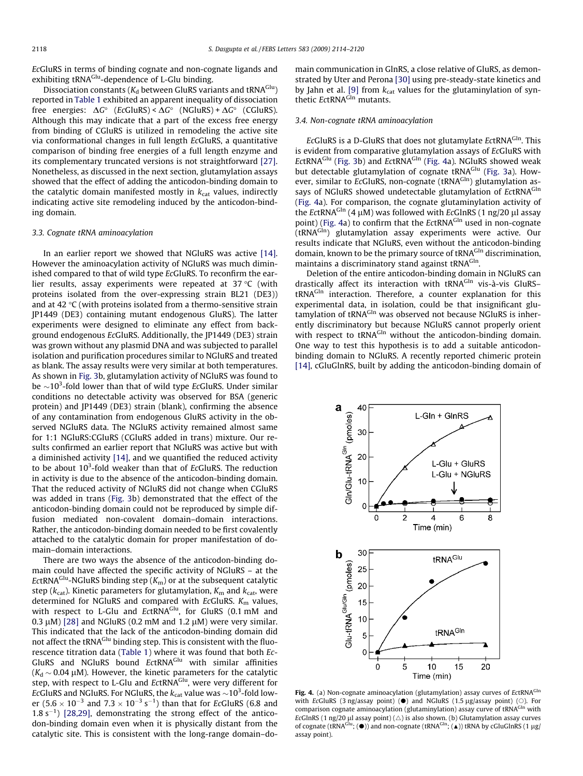<span id="page-4-0"></span>EcGluRS in terms of binding cognate and non-cognate ligands and exhibiting tRNA<sup>Glu</sup>-dependence of L-Glu binding.

Dissociation constants ( $K_d$  between GluRS variants and tRNA<sup>Glu</sup>) reported in [Table 1](#page-3-0) exhibited an apparent inequality of dissociation free energies:  $\Delta G^{\circ}$  (EcGluRS) <  $\Delta G^{\circ}$  (NGluRS) +  $\Delta G^{\circ}$  (CGluRS). Although this may indicate that a part of the excess free energy from binding of CGluRS is utilized in remodeling the active site via conformational changes in full length EcGluRS, a quantitative comparison of binding free energies of a full length enzyme and its complementary truncated versions is not straightforward [\[27\].](#page-6-0) Nonetheless, as discussed in the next section, glutamylation assays showed that the effect of adding the anticodon-binding domain to the catalytic domain manifested mostly in  $k_{\text{cat}}$  values, indirectly indicating active site remodeling induced by the anticodon-binding domain.

### 3.3. Cognate tRNA aminoacylation

In an earlier report we showed that NGluRS was active [\[14\].](#page-6-0) However the aminoacylation activity of NGluRS was much diminished compared to that of wild type EcGluRS. To reconfirm the earlier results, assay experiments were repeated at  $37^{\circ}$ C (with proteins isolated from the over-expressing strain BL21 (DE3)) and at 42 $\degree$ C (with proteins isolated from a thermo-sensitive strain JP1449 (DE3) containing mutant endogenous GluRS). The latter experiments were designed to eliminate any effect from background endogenous EcGluRS. Additionally, the JP1449 (DE3) strain was grown without any plasmid DNA and was subjected to parallel isolation and purification procedures similar to NGluRS and treated as blank. The assay results were very similar at both temperatures. As shown in [Fig. 3b](#page-3-0), glutamylation activity of NGluRS was found to be  ${\sim}10^3$ -fold lower than that of wild type EcGluRS. Under similar conditions no detectable activity was observed for BSA (generic protein) and JP1449 (DE3) strain (blank), confirming the absence of any contamination from endogenous GluRS activity in the observed NGluRS data. The NGluRS activity remained almost same for 1:1 NGluRS:CGluRS (CGluRS added in trans) mixture. Our results confirmed an earlier report that NGluRS was active but with a diminished activity [\[14\]](#page-6-0), and we quantified the reduced activity to be about 10<sup>3</sup>-fold weaker than that of EcGluRS. The reduction in activity is due to the absence of the anticodon-binding domain. That the reduced activity of NGluRS did not change when CGluRS was added in trans ([Fig. 3](#page-3-0)b) demonstrated that the effect of the anticodon-binding domain could not be reproduced by simple diffusion mediated non-covalent domain–domain interactions. Rather, the anticodon-binding domain needed to be first covalently attached to the catalytic domain for proper manifestation of domain–domain interactions.

There are two ways the absence of the anticodon-binding domain could have affected the specific activity of NGluRS – at the EctRNA<sup>Glu</sup>-NGluRS binding step ( $K<sub>m</sub>$ ) or at the subsequent catalytic step ( $k_{\text{cat}}$ ). Kinetic parameters for glutamylation,  $K_{\text{m}}$  and  $k_{\text{cat}}$ , were determined for NGluRS and compared with EcGluRS.  $K<sub>m</sub>$  values, with respect to L-Glu and EctRNA<sup>Glu</sup>, for GluRS (0.1 mM and 0.3  $\mu$ M) [\[28\]](#page-6-0) and NGluRS (0.2 mM and 1.2  $\mu$ M) were very similar. This indicated that the lack of the anticodon-binding domain did not affect the tRNA<sup>Glu</sup> binding step. This is consistent with the fluorescence titration data ([Table 1\)](#page-3-0) where it was found that both Ec-GluRS and NGluRS bound EctRNA<sup>Glu</sup> with similar affinities ( $K_d \sim 0.04$  µM). However, the kinetic parameters for the catalytic step, with respect to L-Glu and EctRNA<sup>Glu</sup>, were very different for EcGluRS and NGluRS. For NGluRS, the  $k_{\mathrm{cat}}$  value was  ${\sim}10^3$ -fold lower (5.6  $\times$  10<sup>-3</sup> and 7.3  $\times$  10<sup>-3</sup> s<sup>-1</sup>) than that for EcGluRS (6.8 and  $1.8 s<sup>-1</sup>$  [\[28,29\]](#page-6-0), demonstrating the strong effect of the anticodon-binding domain even when it is physically distant from the catalytic site. This is consistent with the long-range domain–domain communication in GlnRS, a close relative of GluRS, as demonstrated by Uter and Perona [\[30\]](#page-6-0) using pre-steady-state kinetics and by Jahn et al. [\[9\]](#page-6-0) from  $k_{\text{cat}}$  values for the glutaminylation of synthetic EctRNA<sup>Gln</sup> mutants.

# 3.4. Non-cognate tRNA aminoacylation

EcGluRS is a D-GluRS that does not glutamylate EctRNA<sup>GIn</sup>. This is evident from comparative glutamylation assays of EcGluRS with EctRNA<sup>Glu</sup> ([Fig. 3b](#page-3-0)) and EctRNA<sup>Gln</sup> (Fig. 4a). NGluRS showed weak but detectable glutamylation of cognate tRNA<sup>Glu</sup> [\(Fig. 3a](#page-3-0)). However, similar to EcGluRS, non-cognate (tRNAGIn) glutamylation assays of NGluRS showed undetectable glutamylation of EctRNAGIn (Fig. 4a). For comparison, the cognate glutaminylation activity of the EctRNA<sup>Gln</sup> (4  $\mu$ M) was followed with EcGlnRS (1 ng/20  $\mu$ l assay point) (Fig. 4a) to confirm that the EctRNA<sup>GIn</sup> used in non-cognate (tRNA<sup>Gln</sup>) glutamylation assay experiments were active. Our results indicate that NGluRS, even without the anticodon-binding domain, known to be the primary source of tRNA<sup>GIn</sup> discrimination, maintains a discriminatory stand against tRNAGIn.

Deletion of the entire anticodon-binding domain in NGluRS can drastically affect its interaction with tRNA<sup>Gln</sup> vis-à-vis GluRStRNA<sup>Gln</sup> interaction. Therefore, a counter explanation for this experimental data, in isolation, could be that insignificant glutamylation of tRNA<sup>GIn</sup> was observed not because NGIuRS is inherently discriminatory but because NGluRS cannot properly orient with respect to tRNA<sup>Gln</sup> without the anticodon-binding domain. One way to test this hypothesis is to add a suitable anticodonbinding domain to NGluRS. A recently reported chimeric protein [\[14\]](#page-6-0), cGluGlnRS, built by adding the anticodon-binding domain of



Fig. 4. (a) Non-cognate aminoacylation (glutamylation) assay curves of EctRNA<sup>GIn</sup> with EcGluRS (3 ng/assay point) ( $\bullet$ ) and NGluRS (1.5 µg/assay point) ( $\circ$ ). For comparison cognate aminoacylation (glutaminylation) assay curve of tRNA<sup>GIn</sup> with EcGlnRS (1 ng/20  $\mu$ l assay point) ( $\triangle$ ) is also shown. (b) Glutamylation assay curves of cognate (tRNA<sup>Glu</sup>; ( $\bullet$ )) and non-cognate (tRNA<sup>Gln</sup>; ( $\triangle$ )) tRNA by cGluGlnRS (1 µg/ assay point).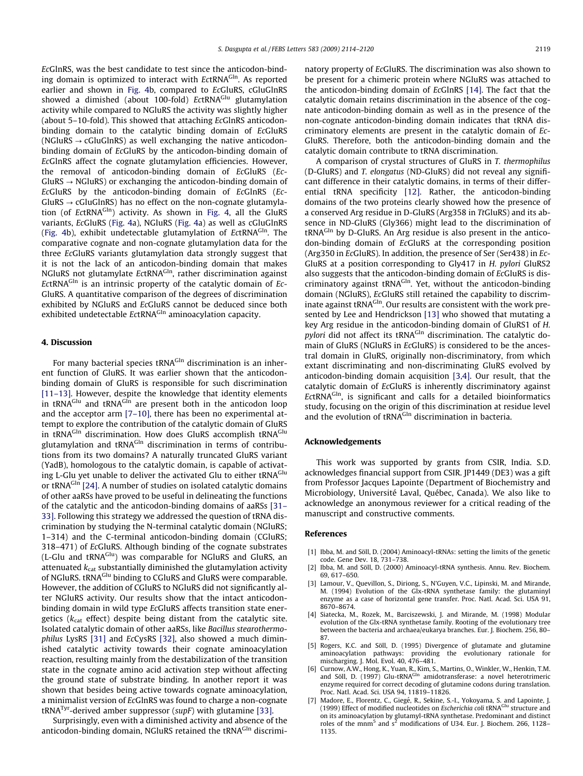<span id="page-5-0"></span>EcGlnRS, was the best candidate to test since the anticodon-binding domain is optimized to interact with EctRNA<sup>GIn</sup>. As reported earlier and shown in [Fig. 4b](#page-4-0), compared to EcGluRS, cGluGlnRS showed a dimished (about 100-fold) EctRNA<sup>Glu</sup> glutamylation activity while compared to NGluRS the activity was slightly higher (about 5–10-fold). This showed that attaching EcGlnRS anticodonbinding domain to the catalytic binding domain of EcGluRS (NGluRS  $\rightarrow$  cGluGlnRS) as well exchanging the native anticodonbinding domain of EcGluRS by the anticodon-binding domain of EcGlnRS affect the cognate glutamylation efficiencies. However, the removal of anticodon-binding domain of EcGluRS (Ec- $GluRS \rightarrow NGluRS)$  or exchanging the anticodon-binding domain of EcGluRS by the anticodon-binding domain of EcGlnRS (Ec- $GluRS \rightarrow cGluGlnRS$ ) has no effect on the non-cognate glutamylation (of EctRNA $G<sup>In</sup>$ ) activity. As shown in [Fig. 4](#page-4-0), all the GluRS variants, EcGluRS [\(Fig. 4](#page-4-0)a), NGluRS ([Fig. 4a](#page-4-0)) as well as cGluGlnRS ([Fig. 4b](#page-4-0)), exhibit undetectable glutamylation of  $EctRNA<sup>GIn</sup>$ . The comparative cognate and non-cognate glutamylation data for the three EcGluRS variants glutamylation data strongly suggest that it is not the lack of an anticodon-binding domain that makes NGluRS not glutamylate EctRNA<sup>GIn</sup>, rather discrimination against  $EctRNA<sup>GIn</sup>$  is an intrinsic property of the catalytic domain of Ec-GluRS. A quantitative comparison of the degrees of discrimination exhibited by NGluRS and EcGluRS cannot be deduced since both exhibited undetectable EctRNA<sup>GIn</sup> aminoacylation capacity.

# 4. Discussion

For many bacterial species tRNA<sup>GIn</sup> discrimination is an inherent function of GluRS. It was earlier shown that the anticodonbinding domain of GluRS is responsible for such discrimination [\[11–13\]](#page-6-0). However, despite the knowledge that identity elements in tRNA<sup>Glu</sup> and tRNA<sup>Gln</sup> are present both in the anticodon loop and the acceptor arm [7–10], there has been no experimental attempt to explore the contribution of the catalytic domain of GluRS in tRNAGIn discrimination. How does GluRS accomplish tRNAGIu glutamylation and tRNA<sup>Gln</sup> discrimination in terms of contributions from its two domains? A naturally truncated GluRS variant (YadB), homologous to the catalytic domain, is capable of activating L-Glu yet unable to deliver the activated Glu to either tRNAGlu or tRNA<sup>GIn</sup> [\[24\].](#page-6-0) A number of studies on isolated catalytic domains of other aaRSs have proved to be useful in delineating the functions of the catalytic and the anticodon-binding domains of aaRSs [\[31–](#page-6-0) [33\]](#page-6-0). Following this strategy we addressed the question of tRNA discrimination by studying the N-terminal catalytic domain (NGluRS; 1–314) and the C-terminal anticodon-binding domain (CGluRS; 318–471) of EcGluRS. Although binding of the cognate substrates (L-Glu and tRNA<sup>Glu</sup>) was comparable for NGluRS and GluRS, an attenuated  $k_{\text{cat}}$  substantially diminished the glutamylation activity of NGluRS. tRNA<sup>Glu</sup> binding to CGluRS and GluRS were comparable. However, the addition of CGluRS to NGluRS did not significantly alter NGluRS activity. Our results show that the intact anticodonbinding domain in wild type EcGluRS affects transition state energetics ( $k_{cat}$  effect) despite being distant from the catalytic site. Isolated catalytic domain of other aaRSs, like Bacillus stearothermophilus LysRS [\[31\]](#page-6-0) and EcCysRS [\[32\],](#page-6-0) also showed a much diminished catalytic activity towards their cognate aminoacylation reaction, resulting mainly from the destabilization of the transition state in the cognate amino acid activation step without affecting the ground state of substrate binding. In another report it was shown that besides being active towards cognate aminoacylation, a minimalist version of EcGlnRS was found to charge a non-cognate tRNA<sup>Tyr</sup>-derived amber suppressor (supF) with glutamine [\[33\].](#page-6-0)

Surprisingly, even with a diminished activity and absence of the anticodon-binding domain, NGluRS retained the tRNA<sup>GIn</sup> discriminatory property of EcGluRS. The discrimination was also shown to be present for a chimeric protein where NGluRS was attached to the anticodon-binding domain of EcGlnRS [\[14\]](#page-6-0). The fact that the catalytic domain retains discrimination in the absence of the cognate anticodon-binding domain as well as in the presence of the non-cognate anticodon-binding domain indicates that tRNA discriminatory elements are present in the catalytic domain of Ec-GluRS. Therefore, both the anticodon-binding domain and the catalytic domain contribute to tRNA discrimination.

A comparison of crystal structures of GluRS in T. thermophilus (D-GluRS) and T. elongatus (ND-GluRS) did not reveal any significant difference in their catalytic domains, in terms of their differential tRNA specificity [\[12\].](#page-6-0) Rather, the anticodon-binding domains of the two proteins clearly showed how the presence of a conserved Arg residue in D-GluRS (Arg358 in TtGluRS) and its absence in ND-GluRS (Gly366) might lead to the discrimination of tRNAGln by D-GluRS. An Arg residue is also present in the anticodon-binding domain of EcGluRS at the corresponding position (Arg350 in EcGluRS). In addition, the presence of Ser (Ser438) in Ec-GluRS at a position corresponding to Gly417 in H. pylori GluRS2 also suggests that the anticodon-binding domain of EcGluRS is discriminatory against tRNA<sup>GIn</sup>. Yet, without the anticodon-binding domain (NGluRS), EcGluRS still retained the capability to discriminate against tRNA<sup>GIn</sup>. Our results are consistent with the work presented by Lee and Hendrickson [\[13\]](#page-6-0) who showed that mutating a key Arg residue in the anticodon-binding domain of GluRS1 of H. pylori did not affect its tRNA<sup>GIn</sup> discrimination. The catalytic domain of GluRS (NGluRS in EcGluRS) is considered to be the ancestral domain in GluRS, originally non-discriminatory, from which extant discriminating and non-discriminating GluRS evolved by anticodon-binding domain acquisition [3,4]. Our result, that the catalytic domain of EcGluRS is inherently discriminatory against EctRNA<sup>GIn</sup>, is significant and calls for a detailed bioinformatics study, focusing on the origin of this discrimination at residue level and the evolution of tRNA<sup>GIn</sup> discrimination in bacteria.

#### Acknowledgements

This work was supported by grants from CSIR, India. S.D. acknowledges financial support from CSIR. JP1449 (DE3) was a gift from Professor Jacques Lapointe (Department of Biochemistry and Microbiology, Université Laval, Québec, Canada). We also like to acknowledge an anonymous reviewer for a critical reading of the manuscript and constructive comments.

#### References

- [1] Ibba, M. and Söll, D. (2004) Aminoacyl-tRNAs: setting the limits of the genetic code. Gene Dev. 18, 731–738.
- [2] Ibba, M. and Söll, D. (2000) Aminoacyl-tRNA synthesis. Annu. Rev. Biochem. 69, 617–650.
- Lamour, V., Quevillon, S., Diriong, S., N'Guyen, V.C., Lipinski, M. and Mirande, M. (1994) Evolution of the Glx-tRNA synthetase family: the glutaminyl enzyme as a case of horizontal gene transfer. Proc. Natl. Acad. Sci. USA 91, 8670–8674.
- [4] Siatecka, M., Rozek, M., Barciszewski, J. and Mirande, M. (1998) Modular evolution of the Glx-tRNA synthetase family. Rooting of the evolutionary tree between the bacteria and archaea/eukarya branches. Eur. J. Biochem. 256, 80– 87.
- [5] Rogers, K.C. and Söll, D. (1995) Divergence of glutamate and glutamine aminoacylation pathways: providing the evolutionary rationale for mischarging. J. Mol. Evol. 40, 476–481.
- [6] Curnow, A.W., Hong, K., Yuan, R., Kim, S., Martins, O., Winkler, W., Henkin, T.M.<br>and Söll, D. (1997) Glu-tRNA<sup>Gln</sup> amidotransferase: a novel heterotrimeric enzyme required for correct decoding of glutamine codons during translation. Proc. Natl. Acad. Sci. USA 94, 11819–11826.
- [7] Madore, E., Florentz, C., Giegé, R., Sekine, S.-I., Yokoyama, S. and Lapointe, J. (1999) Effect of modified nucleotides on Escherichia coli tRNA<sup>Glu</sup> structure and on its aminoacylation by glutamyl-tRNA synthetase. Predominant and distinct roles of the mnm<sup>5</sup> and  $s^2$  modifications of U34. Eur. J. Biochem. 266, 1128-1135.